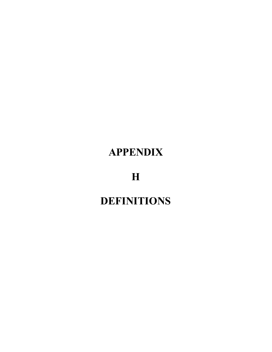## **APPENDIX**

**H**

## **DEFINITIONS**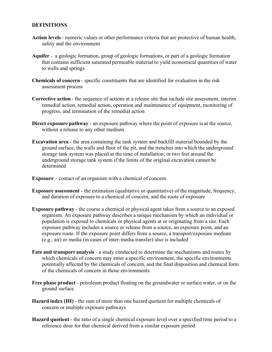## **DEFINITIONS**

- **Action levels** numeric values or other performance criteria that are protective of human health, safety and the environment
- **Aquifer**  a geologic formation, group of geologic formations, or part of a geologic formation that contains sufficient saturated permeable material to yield economical quantities of water to wells and springs
- **Chemicals of concern** specific constituents that are identified for evaluation in the risk assessment process
- **Corrective action** the sequence of actions at a release site that include site assessment, interim remedial action, remedial action, operation and maintenance of equipment, monitoring of progress, and termination of the remedial action
- **Direct exposure pathway** an exposure pathway where the point of exposure is at the source, without a release to any other medium
- **Excavation area** the area containing the tank system and backfill material bounded by the ground surface, the walls and floor of the pit, and the trenches into which the underground storage tank system was placed at the time of installation; or two feet around the underground storage tank system if the limits of the original excavation cannot be determined
- **Exposure** contact of an organism with a chemical of concern
- **Exposure assessment** the estimation (qualitative or quantitative) of the magnitude, frequency, and duration of exposure to a chemical of concern, and the route of exposure
- **Exposure pathway** the course a chemical or physical agent takes from a source to an exposed organism. An exposure pathway describes a unique mechanism by which an individual or population is exposed to chemicals or physical agents at or originating from a site. Each exposure pathway includes a source or release from a source, an exposure point, and an exposure route. If the exposure point differs from a source, a transport/exposure medium (e.g., air) or media (in cases of inter-media transfer) also is included
- **Fate and transport analysis**  a study conducted to determine the mechanisms and routes by which chemicals of concern may enter a specific environment, the specific environments potentially affected by the chemicals of concern, and the final disposition and chemical form of the chemicals of concern in those environments
- **Free phase product** petroleum product floating on the groundwater or surface water, or on the ground surface
- **Hazard index (HI)** the sum of more than one hazard quotient for multiple chemicals of concern or multiple exposure pathways
- **Hazard quotient** the ratio of a single chemical exposure level over a specified time period to a reference dose for that chemical derived from a similar exposure period